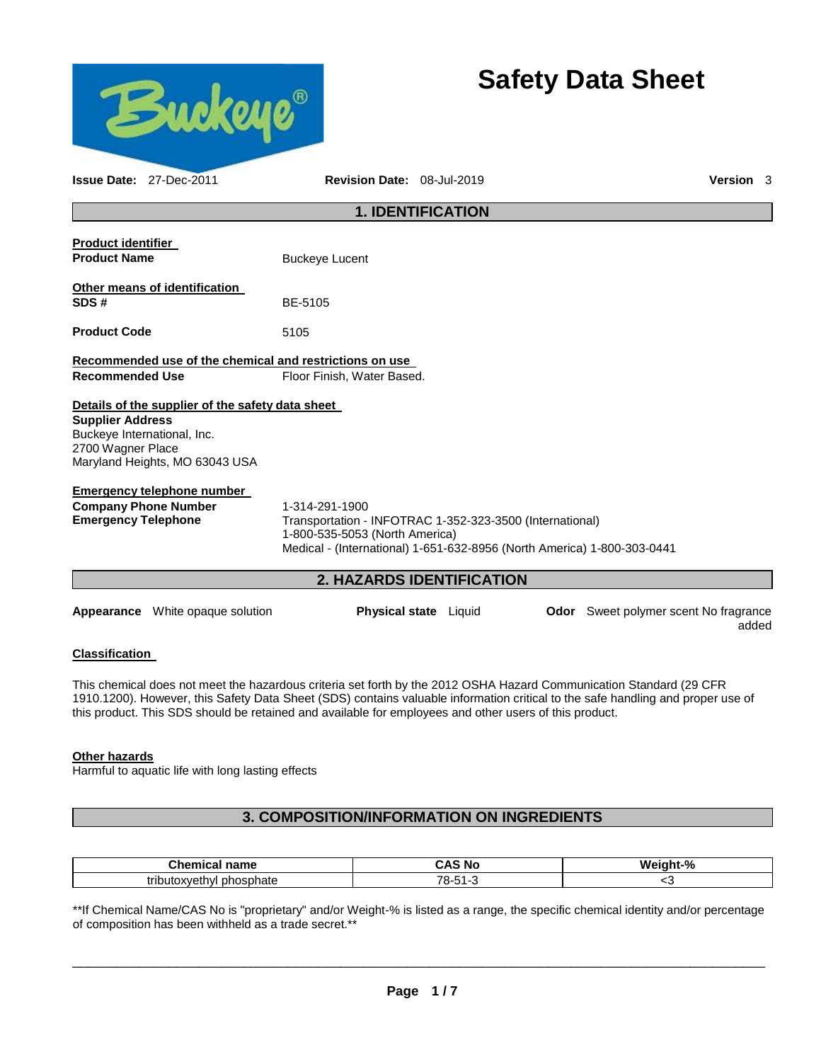

# **Safety Data Sheet**

|                                                                             | <b>Issue Date: 27-Dec-2011</b>                                                     | Revision Date: 08-Jul-2019                                                                                                                                                              |                           |                                              | Version 3 |  |
|-----------------------------------------------------------------------------|------------------------------------------------------------------------------------|-----------------------------------------------------------------------------------------------------------------------------------------------------------------------------------------|---------------------------|----------------------------------------------|-----------|--|
|                                                                             |                                                                                    |                                                                                                                                                                                         | <b>1. IDENTIFICATION</b>  |                                              |           |  |
| <b>Product identifier</b><br><b>Product Name</b>                            |                                                                                    | <b>Buckeye Lucent</b>                                                                                                                                                                   |                           |                                              |           |  |
| SDS#                                                                        | Other means of identification                                                      | BE-5105                                                                                                                                                                                 |                           |                                              |           |  |
| <b>Product Code</b>                                                         |                                                                                    | 5105                                                                                                                                                                                    |                           |                                              |           |  |
|                                                                             |                                                                                    | Recommended use of the chemical and restrictions on use                                                                                                                                 |                           |                                              |           |  |
| <b>Recommended Use</b>                                                      |                                                                                    | Floor Finish, Water Based.                                                                                                                                                              |                           |                                              |           |  |
| <b>Supplier Address</b><br>Buckeye International, Inc.<br>2700 Wagner Place | Details of the supplier of the safety data sheet<br>Maryland Heights, MO 63043 USA |                                                                                                                                                                                         |                           |                                              |           |  |
|                                                                             | <b>Emergency telephone number</b>                                                  |                                                                                                                                                                                         |                           |                                              |           |  |
| <b>Emergency Telephone</b>                                                  | <b>Company Phone Number</b>                                                        | 1-314-291-1900<br>Transportation - INFOTRAC 1-352-323-3500 (International)<br>1-800-535-5053 (North America)<br>Medical - (International) 1-651-632-8956 (North America) 1-800-303-0441 |                           |                                              |           |  |
|                                                                             |                                                                                    |                                                                                                                                                                                         | 2. HAZARDS IDENTIFICATION |                                              |           |  |
|                                                                             | <b>Appearance</b> White opaque solution                                            |                                                                                                                                                                                         | Physical state Liquid     | <b>Odor</b> Sweet polymer scent No fragrance | added     |  |

### **Classification**

This chemical does not meet the hazardous criteria set forth by the 2012 OSHA Hazard Communication Standard (29 CFR 1910.1200). However, this Safety Data Sheet (SDS) contains valuable information critical to the safe handling and proper use of this product. This SDS should be retained and available for employees and other users of this product.

#### **Other hazards**

Harmful to aquatic life with long lasting effects

# **3. COMPOSITION/INFORMATION ON INGREDIENTS**

| $\sim$<br>$n \cdot m$<br>-----<br>m<br>чанне<br>-41 | N0<br>'N<br>$\sim$ $\sim$ | w۰  |
|-----------------------------------------------------|---------------------------|-----|
| . .<br>tributoxvethvl<br>phosphate                  | .                         | . . |

\*\*If Chemical Name/CAS No is "proprietary" and/or Weight-% is listed as a range, the specific chemical identity and/or percentage of composition has been withheld as a trade secret.\*\*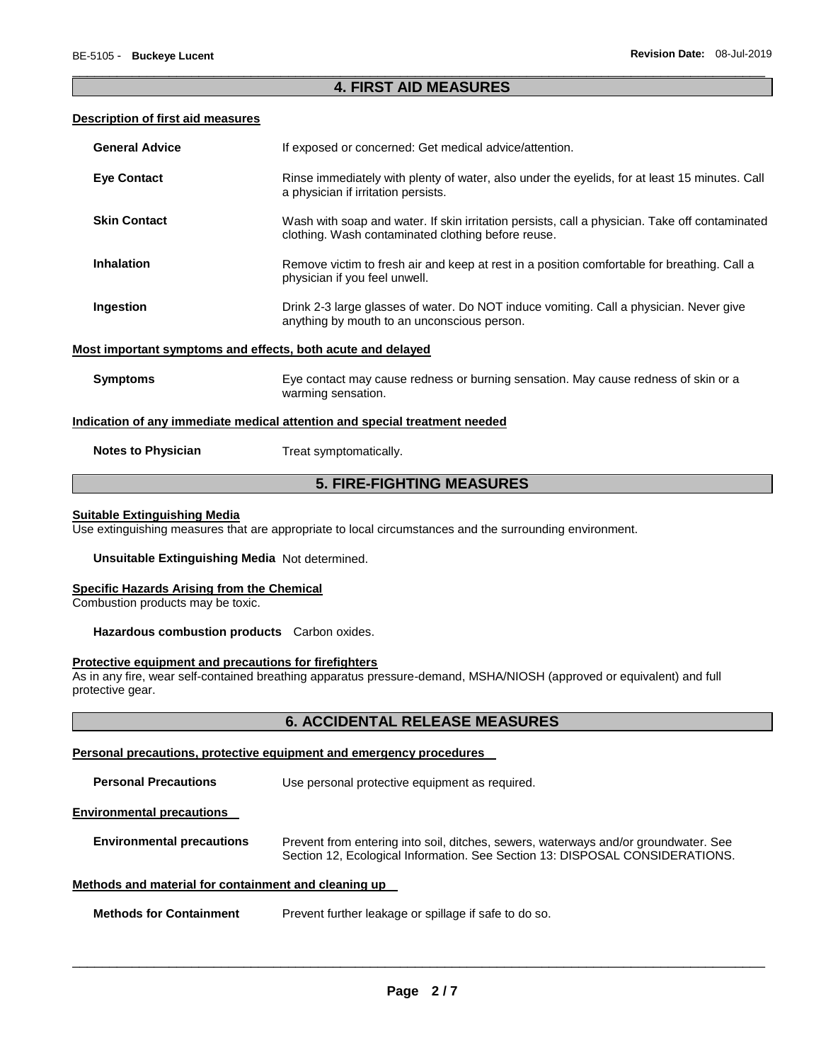### \_\_\_\_\_\_\_\_\_\_\_\_\_\_\_\_\_\_\_\_\_\_\_\_\_\_\_\_\_\_\_\_\_\_\_\_\_\_\_\_\_\_\_\_\_\_\_\_\_\_\_\_\_\_\_\_\_\_\_\_\_\_\_\_\_\_\_\_\_\_\_\_\_\_\_\_\_\_\_\_\_\_\_\_\_\_\_\_\_\_\_\_\_ **4. FIRST AID MEASURES**

#### **Description of first aid measures**

| <b>Eye Contact</b><br>Rinse immediately with plenty of water, also under the eyelids, for at least 15 minutes. Call<br>a physician if irritation persists.                  |
|-----------------------------------------------------------------------------------------------------------------------------------------------------------------------------|
|                                                                                                                                                                             |
| <b>Skin Contact</b><br>Wash with soap and water. If skin irritation persists, call a physician. Take off contaminated<br>clothing. Wash contaminated clothing before reuse. |
| <b>Inhalation</b><br>Remove victim to fresh air and keep at rest in a position comfortable for breathing. Call a<br>physician if you feel unwell.                           |
| Ingestion<br>Drink 2-3 large glasses of water. Do NOT induce vomiting. Call a physician. Never give<br>anything by mouth to an unconscious person.                          |
| Most important symptoms and effects, both acute and delayed                                                                                                                 |
| <b>Symptoms</b><br>Eye contact may cause redness or burning sensation. May cause redness of skin or a<br>warming sensation.                                                 |
| Indication of any immediate medical attention and special treatment needed                                                                                                  |
| <b>Notes to Physician</b><br>Treat symptomatically.                                                                                                                         |

# **5. FIRE-FIGHTING MEASURES**

#### **Suitable Extinguishing Media**

Use extinguishing measures that are appropriate to local circumstances and the surrounding environment.

**Unsuitable Extinguishing Media** Not determined.

#### **Specific Hazards Arising from the Chemical**

Combustion products may be toxic.

**Hazardous combustion products** Carbon oxides.

#### **Protective equipment and precautions for firefighters**

As in any fire, wear self-contained breathing apparatus pressure-demand, MSHA/NIOSH (approved or equivalent) and full protective gear.

### **6. ACCIDENTAL RELEASE MEASURES**

#### **Personal precautions, protective equipment and emergency procedures**

| <b>Personal Precautions</b>                          | Use personal protective equipment as required.                                                                                                                      |
|------------------------------------------------------|---------------------------------------------------------------------------------------------------------------------------------------------------------------------|
| <b>Environmental precautions</b>                     |                                                                                                                                                                     |
| <b>Environmental precautions</b>                     | Prevent from entering into soil, ditches, sewers, waterways and/or groundwater. See<br>Section 12, Ecological Information. See Section 13: DISPOSAL CONSIDERATIONS. |
| Methods and material for containment and cleaning up |                                                                                                                                                                     |
|                                                      |                                                                                                                                                                     |

**Methods for Containment** Prevent further leakage or spillage if safe to do so.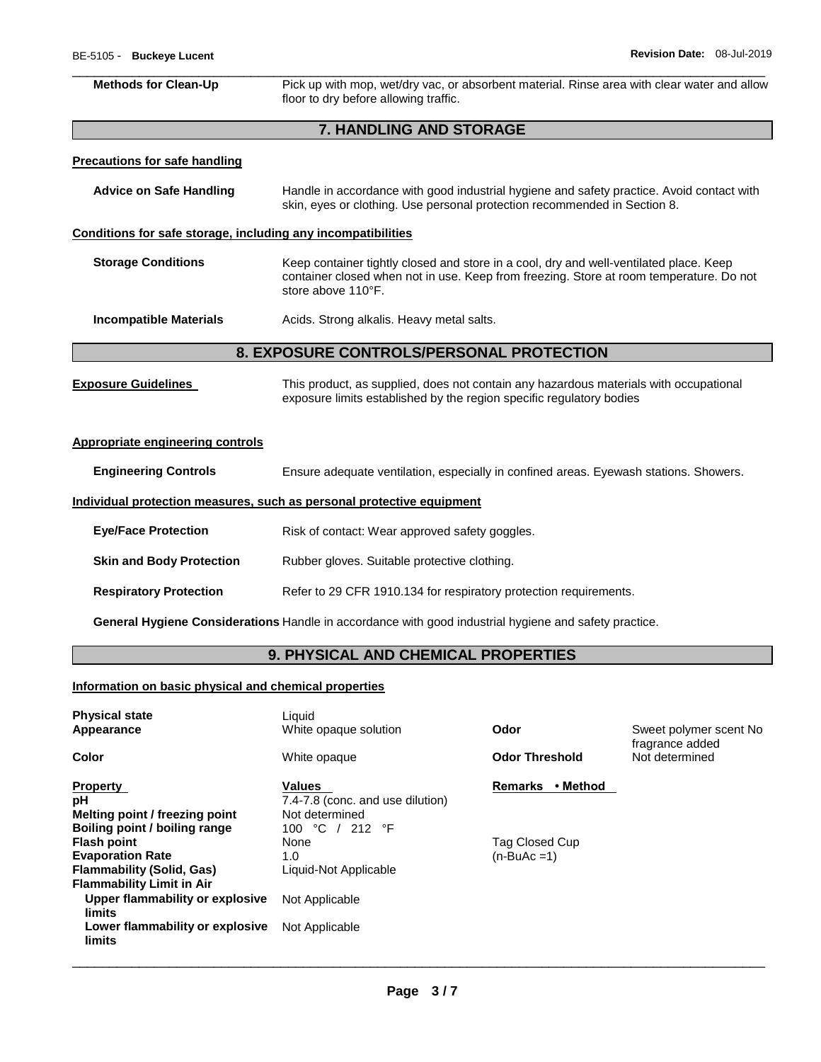| <b>Methods for Clean-Up</b>                                                                                                                                                                                                          | Pick up with mop, wet/dry vac, or absorbent material. Rinse area with clear water and allow<br>floor to dry before allowing traffic.                                   |  |
|--------------------------------------------------------------------------------------------------------------------------------------------------------------------------------------------------------------------------------------|------------------------------------------------------------------------------------------------------------------------------------------------------------------------|--|
|                                                                                                                                                                                                                                      | 7. HANDLING AND STORAGE                                                                                                                                                |  |
| <b>Precautions for safe handling</b>                                                                                                                                                                                                 |                                                                                                                                                                        |  |
| <b>Advice on Safe Handling</b>                                                                                                                                                                                                       | Handle in accordance with good industrial hygiene and safety practice. Avoid contact with<br>skin, eyes or clothing. Use personal protection recommended in Section 8. |  |
| Conditions for safe storage, including any incompatibilities                                                                                                                                                                         |                                                                                                                                                                        |  |
| <b>Storage Conditions</b><br>Keep container tightly closed and store in a cool, dry and well-ventilated place. Keep<br>container closed when not in use. Keep from freezing. Store at room temperature. Do not<br>store above 110°F. |                                                                                                                                                                        |  |
| <b>Incompatible Materials</b><br>Acids. Strong alkalis. Heavy metal salts.                                                                                                                                                           |                                                                                                                                                                        |  |
|                                                                                                                                                                                                                                      | 8. EXPOSURE CONTROLS/PERSONAL PROTECTION                                                                                                                               |  |
| <b>Exposure Guidelines</b>                                                                                                                                                                                                           | This product, as supplied, does not contain any hazardous materials with occupational<br>exposure limits established by the region specific regulatory bodies          |  |
| <b>Appropriate engineering controls</b>                                                                                                                                                                                              |                                                                                                                                                                        |  |
| <b>Engineering Controls</b>                                                                                                                                                                                                          | Ensure adequate ventilation, especially in confined areas. Eyewash stations. Showers.                                                                                  |  |
|                                                                                                                                                                                                                                      | Individual protection measures, such as personal protective equipment                                                                                                  |  |
| <b>Eye/Face Protection</b>                                                                                                                                                                                                           | Risk of contact: Wear approved safety goggles.                                                                                                                         |  |
| <b>Skin and Body Protection</b>                                                                                                                                                                                                      | Rubber gloves. Suitable protective clothing.                                                                                                                           |  |
| <b>Respiratory Protection</b>                                                                                                                                                                                                        | Refer to 29 CFR 1910.134 for respiratory protection requirements.                                                                                                      |  |
|                                                                                                                                                                                                                                      | General Hygiene Considerations Handle in accordance with good industrial hygiene and safety practice.                                                                  |  |

# **9. PHYSICAL AND CHEMICAL PROPERTIES**

# **Information on basic physical and chemical properties**

| <b>Physical state</b><br>Appearance                                                                                   | Liquid<br>White opaque solution                                                        | Odor                           | Sweet polymer scent No.<br>fragrance added |
|-----------------------------------------------------------------------------------------------------------------------|----------------------------------------------------------------------------------------|--------------------------------|--------------------------------------------|
| Color                                                                                                                 | White opaque                                                                           | <b>Odor Threshold</b>          | Not determined                             |
| <b>Property</b><br>рH<br>Melting point / freezing point<br>Boiling point / boiling range                              | <b>Values</b><br>7.4-7.8 (conc. and use dilution)<br>Not determined<br>100 °C / 212 °F | • Method<br><b>Remarks</b>     |                                            |
| <b>Flash point</b><br><b>Evaporation Rate</b><br><b>Flammability (Solid, Gas)</b><br><b>Flammability Limit in Air</b> | None<br>1.0<br>Liquid-Not Applicable                                                   | Tag Closed Cup<br>$(n-BuAc=1)$ |                                            |
| Upper flammability or explosive<br>limits<br>Lower flammability or explosive<br>limits                                | Not Applicable<br>Not Applicable                                                       |                                |                                            |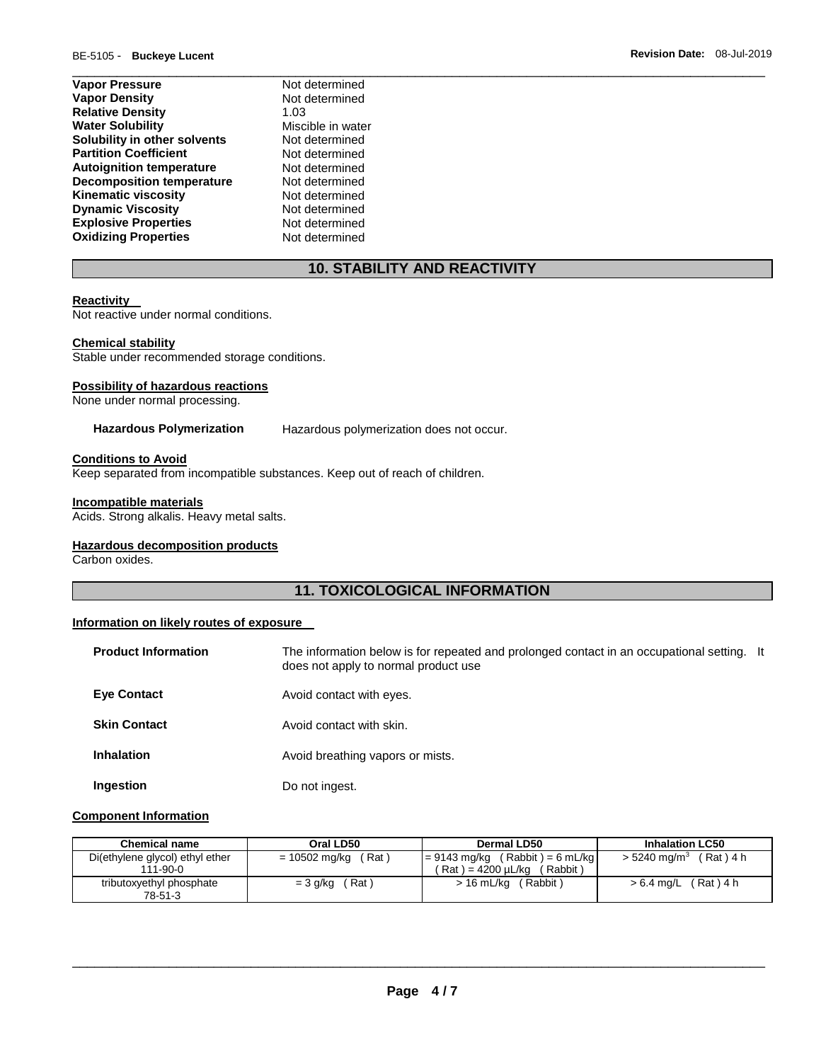| <b>Vapor Pressure</b>            | Not determined    |
|----------------------------------|-------------------|
| <b>Vapor Density</b>             | Not determined    |
| <b>Relative Density</b>          | 1.03              |
| <b>Water Solubility</b>          | Miscible in water |
| Solubility in other solvents     | Not determined    |
| <b>Partition Coefficient</b>     | Not determined    |
| <b>Autoignition temperature</b>  | Not determined    |
| <b>Decomposition temperature</b> | Not determined    |
| <b>Kinematic viscosity</b>       | Not determined    |
| <b>Dynamic Viscosity</b>         | Not determined    |
| <b>Explosive Properties</b>      | Not determined    |
| <b>Oxidizing Properties</b>      | Not determined    |

# **10. STABILITY AND REACTIVITY**

\_\_\_\_\_\_\_\_\_\_\_\_\_\_\_\_\_\_\_\_\_\_\_\_\_\_\_\_\_\_\_\_\_\_\_\_\_\_\_\_\_\_\_\_\_\_\_\_\_\_\_\_\_\_\_\_\_\_\_\_\_\_\_\_\_\_\_\_\_\_\_\_\_\_\_\_\_\_\_\_\_\_\_\_\_\_\_\_\_\_\_\_\_

#### **Reactivity**

Not reactive under normal conditions.

#### **Chemical stability**

Stable under recommended storage conditions.

#### **Possibility of hazardous reactions**

None under normal processing.

**Hazardous Polymerization** Hazardous polymerization does not occur.

#### **Conditions to Avoid**

Keep separated from incompatible substances. Keep out of reach of children.

#### **Incompatible materials**

Acids. Strong alkalis. Heavy metal salts.

#### **Hazardous decomposition products**

Carbon oxides.

# **11. TOXICOLOGICAL INFORMATION**

#### **Information on likely routes of exposure**

| <b>Product Information</b> | The information below is for repeated and prolonged contact in an occupational setting. It<br>does not apply to normal product use |  |
|----------------------------|------------------------------------------------------------------------------------------------------------------------------------|--|
| <b>Eye Contact</b>         | Avoid contact with eyes.                                                                                                           |  |
| <b>Skin Contact</b>        | Avoid contact with skin.                                                                                                           |  |
| <b>Inhalation</b>          | Avoid breathing vapors or mists.                                                                                                   |  |
| Ingestion                  | Do not ingest.                                                                                                                     |  |

#### **Component Information**

| <b>Chemical name</b>                              | Oral LD50              | Dermal LD50                                                             | <b>Inhalation LC50</b>            |
|---------------------------------------------------|------------------------|-------------------------------------------------------------------------|-----------------------------------|
| Di(ethylene glycol) ethyl ether<br>$111 - 90 - 0$ | (Rat)<br>= 10502 mg/kg | $= 9143$ mg/kg (Rabbit) = 6 mL/kg<br>( Rat ) = 4200 uL/kɑ<br>' Rabbit ) | $> 5240$ mg/m $^3$<br>$(Rat)$ 4 h |
| tributoxyethyl phosphate<br>78-51-3               | (Rat)<br>= 3 g/kg      | > 16 mL/kg<br>(Rabbit)                                                  | (Rat)4h<br>> 6.4 mg/L             |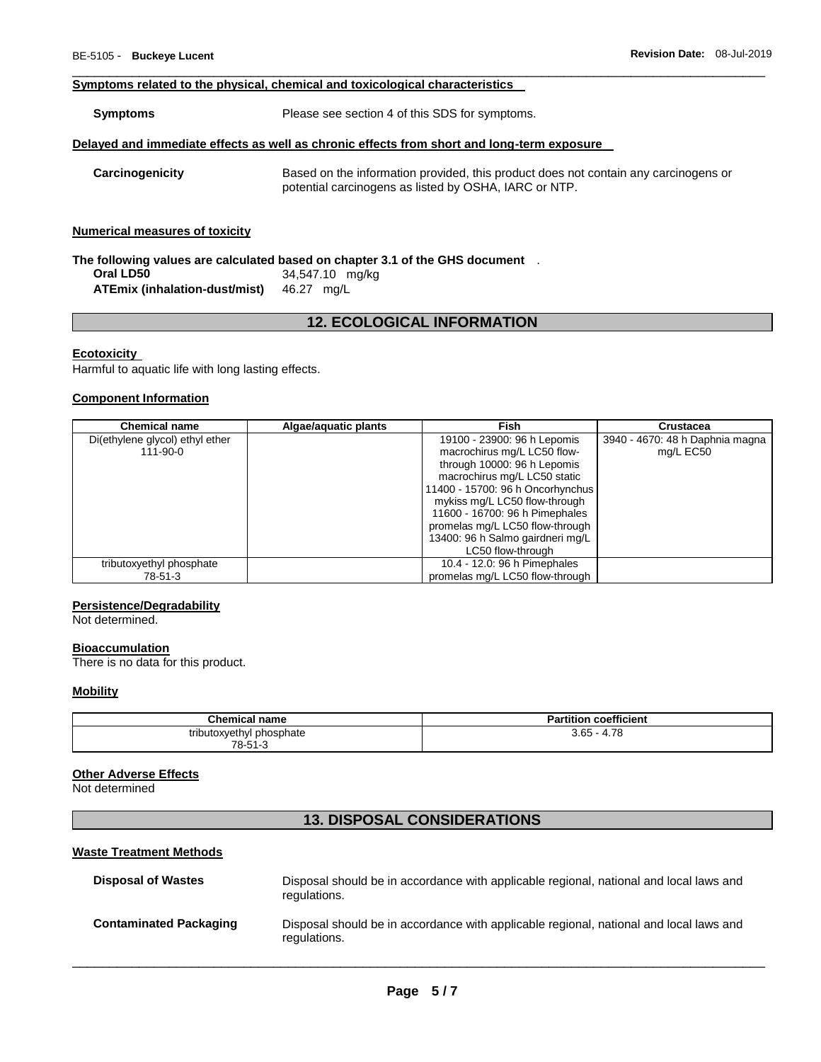#### **Symptoms related to the physical, chemical and toxicological characteristics**

**Symptoms** Please see section 4 of this SDS for symptoms.

#### **Delayed and immediate effects as well as chronic effects from short and long-term exposure**

**Carcinogenicity** Based on the information provided, this product does not contain any carcinogens or potential carcinogens as listed by OSHA, IARC or NTP.

\_\_\_\_\_\_\_\_\_\_\_\_\_\_\_\_\_\_\_\_\_\_\_\_\_\_\_\_\_\_\_\_\_\_\_\_\_\_\_\_\_\_\_\_\_\_\_\_\_\_\_\_\_\_\_\_\_\_\_\_\_\_\_\_\_\_\_\_\_\_\_\_\_\_\_\_\_\_\_\_\_\_\_\_\_\_\_\_\_\_\_\_\_

#### **Numerical measures of toxicity**

|                               | The following values are calculated based on chapter 3.1 of the GHS document . |  |
|-------------------------------|--------------------------------------------------------------------------------|--|
| Oral LD50                     | 34,547.10 mg/kg                                                                |  |
| ATEmix (inhalation-dust/mist) | 46.27 ma/L                                                                     |  |

# **12. ECOLOGICAL INFORMATION**

#### **Ecotoxicity**

Harmful to aquatic life with long lasting effects.

#### **Component Information**

| <b>Chemical name</b>                              | Algae/aquatic plants | Fish                                                                                                                                                                                                                                                                | <b>Crustacea</b>                             |
|---------------------------------------------------|----------------------|---------------------------------------------------------------------------------------------------------------------------------------------------------------------------------------------------------------------------------------------------------------------|----------------------------------------------|
| Di(ethylene glycol) ethyl ether<br>$111 - 90 - 0$ |                      | 19100 - 23900: 96 h Lepomis<br>macrochirus mg/L LC50 flow-<br>through 10000: 96 h Lepomis<br>macrochirus mg/L LC50 static<br>11400 - 15700: 96 h Oncorhynchus<br>mykiss mg/L LC50 flow-through<br>11600 - 16700: 96 h Pimephales<br>promelas mg/L LC50 flow-through | 3940 - 4670: 48 h Daphnia magna<br>mg/L EC50 |
|                                                   |                      | 13400: 96 h Salmo gairdneri mg/L<br>LC50 flow-through                                                                                                                                                                                                               |                                              |
| tributoxyethyl phosphate<br>78-51-3               |                      | 10.4 - 12.0: 96 h Pimephales<br>promelas mg/L LC50 flow-through                                                                                                                                                                                                     |                                              |

#### **Persistence/Degradability**

Not determined.

#### **Bioaccumulation**

There is no data for this product.

#### **Mobility**

| <b>Chemical name</b>     | rtition coefficient<br>ъ.<br>ан |
|--------------------------|---------------------------------|
| tributoxyethyl phosphate | 4.78                            |
| 78-51-3                  | $3.65 - 4$                      |

#### **Other Adverse Effects**

Not determined

# **13. DISPOSAL CONSIDERATIONS**

#### **Waste Treatment Methods**

| <b>Disposal of Wastes</b>     | Disposal should be in accordance with applicable regional, national and local laws and<br>regulations. |
|-------------------------------|--------------------------------------------------------------------------------------------------------|
| <b>Contaminated Packaging</b> | Disposal should be in accordance with applicable regional, national and local laws and<br>regulations. |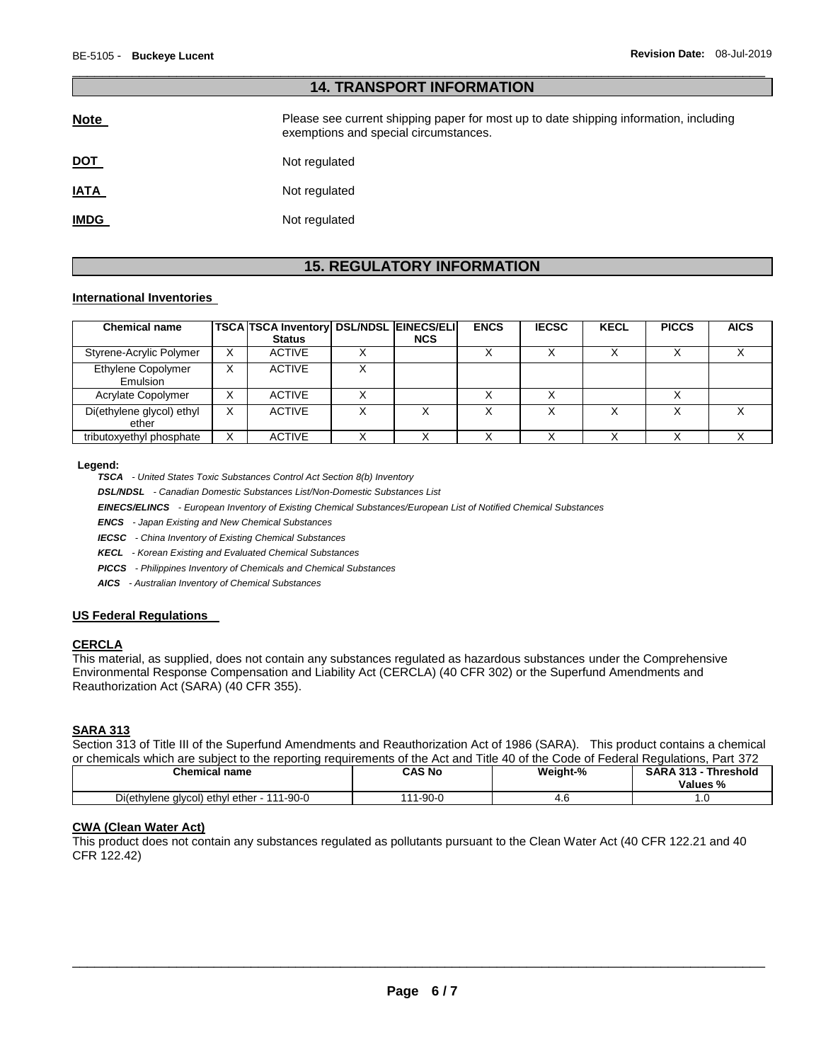| 14. INANJEUNI INI UNIJATIUN |                                                                                                                                |  |  |  |
|-----------------------------|--------------------------------------------------------------------------------------------------------------------------------|--|--|--|
| <b>Note</b>                 | Please see current shipping paper for most up to date shipping information, including<br>exemptions and special circumstances. |  |  |  |
| <u>DOT</u>                  | Not regulated                                                                                                                  |  |  |  |
| <b>IATA</b>                 | Not regulated                                                                                                                  |  |  |  |
| <b>IMDG</b>                 | Not regulated                                                                                                                  |  |  |  |

\_\_\_\_\_\_\_\_\_\_\_\_\_\_\_\_\_\_\_\_\_\_\_\_\_\_\_\_\_\_\_\_\_\_\_\_\_\_\_\_\_\_\_\_\_\_\_\_\_\_\_\_\_\_\_\_\_\_\_\_\_\_\_\_\_\_\_\_\_\_\_\_\_\_\_\_\_\_\_\_\_\_\_\_\_\_\_\_\_\_\_\_\_

**14. TRANSPORT INFORMATION** 

# **15. REGULATORY INFORMATION**

#### **International Inventories**

| <b>Chemical name</b>               |   | TSCA TSCA Inventory DSL/NDSL EINECS/ELI |            | <b>ENCS</b> | <b>IECSC</b> | <b>KECL</b> | <b>PICCS</b> | <b>AICS</b> |
|------------------------------------|---|-----------------------------------------|------------|-------------|--------------|-------------|--------------|-------------|
|                                    |   | <b>Status</b>                           | <b>NCS</b> |             |              |             |              |             |
| Styrene-Acrylic Polymer            | X | <b>ACTIVE</b>                           |            |             |              |             |              |             |
| Ethylene Copolymer<br>Emulsion     | v | <b>ACTIVE</b>                           |            |             |              |             |              |             |
| Acrylate Copolymer                 | X | <b>ACTIVE</b>                           |            |             |              |             |              |             |
| Di(ethylene glycol) ethyl<br>ether | x | <b>ACTIVE</b>                           |            |             |              |             |              |             |
| tributoxyethyl phosphate           | х | <b>ACTIVE</b>                           |            |             |              |             |              |             |

#### **Legend:**

*TSCA - United States Toxic Substances Control Act Section 8(b) Inventory* 

*DSL/NDSL - Canadian Domestic Substances List/Non-Domestic Substances List* 

*EINECS/ELINCS - European Inventory of Existing Chemical Substances/European List of Notified Chemical Substances* 

*ENCS - Japan Existing and New Chemical Substances* 

*IECSC - China Inventory of Existing Chemical Substances* 

*KECL - Korean Existing and Evaluated Chemical Substances* 

*PICCS - Philippines Inventory of Chemicals and Chemical Substances* 

*AICS - Australian Inventory of Chemical Substances* 

#### **US Federal Regulations**

#### **CERCLA**

This material, as supplied, does not contain any substances regulated as hazardous substances under the Comprehensive Environmental Response Compensation and Liability Act (CERCLA) (40 CFR 302) or the Superfund Amendments and Reauthorization Act (SARA) (40 CFR 355).

#### **SARA 313**

Section 313 of Title III of the Superfund Amendments and Reauthorization Act of 1986 (SARA). This product contains a chemical or chemicals which are subject to the reporting requirements of the Act and Title 40 of the Code of Federal Regulations, Part 372

| Chemical name                                  | CAS No | Weight-% | - 242<br>Threshold<br><b>SARA</b><br>- 313 -<br>Values % |
|------------------------------------------------|--------|----------|----------------------------------------------------------|
| Di(ethylene glycol) ethyl ether<br>1-90-0<br>. | 1-90-0 | 7.U      |                                                          |

#### **CWA (Clean Water Act)**

This product does not contain any substances regulated as pollutants pursuant to the Clean Water Act (40 CFR 122.21 and 40 CFR 122.42)